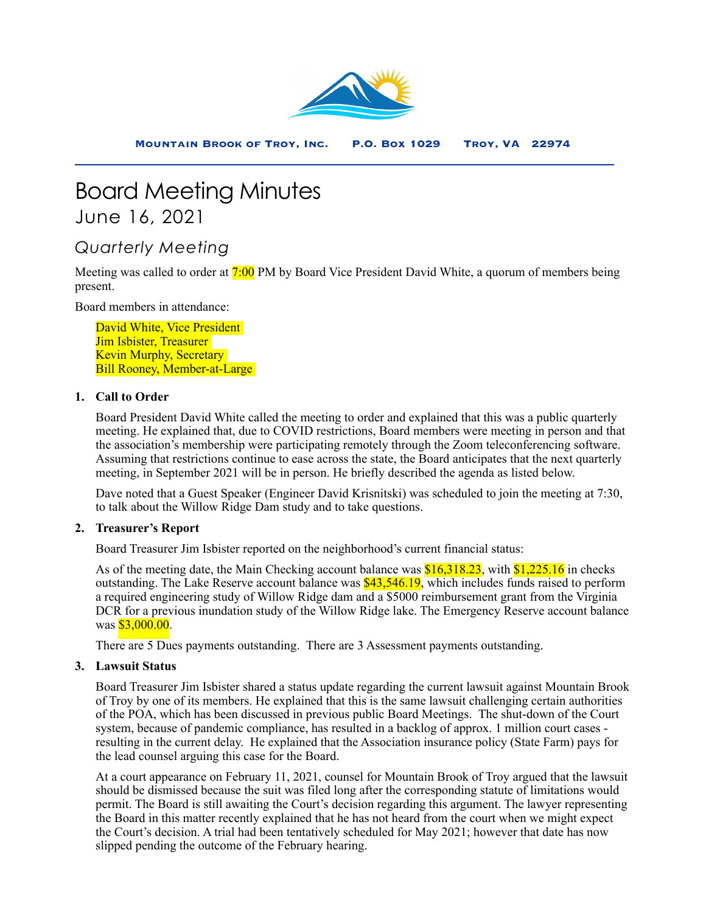

# Board Meeting Minutes

June 16, 2021

# *Quarterly Meeting*

Meeting was called to order at 7:00 PM by Board Vice President David White, a quorum of members being present.

Board members in attendance:

David White, Vice President Jim Isbister, Treasurer Kevin Murphy, Secretary Bill Rooney, Member-at-Large

# **1. Call to Order**

Board President David White called the meeting to order and explained that this was a public quarterly meeting. He explained that, due to COVID restrictions, Board members were meeting in person and that the association's membership were participating remotely through the Zoom teleconferencing software. Assuming that restrictions continue to ease across the state, the Board anticipates that the next quarterly meeting, in September 2021 will be in person. He briefly described the agenda as listed below.

Dave noted that a Guest Speaker (Engineer David Krisnitski) was scheduled to join the meeting at 7:30, to talk about the Willow Ridge Dam study and to take questions.

#### **2. Treasurer's Report**

Board Treasurer Jim Isbister reported on the neighborhood's current financial status:

As of the meeting date, the Main Checking account balance was \$16,318.23, with \$1,225.16 in checks outstanding. The Lake Reserve account balance was \$43,546.19, which includes funds raised to perform a required engineering study of Willow Ridge dam and a \$5000 reimbursement grant from the Virginia DCR for a previous inundation study of the Willow Ridge lake. The Emergency Reserve account balance was  $$3,000.00$ .

There are 5 Dues payments outstanding. There are 3 Assessment payments outstanding.

## **3. Lawsuit Status**

Board Treasurer Jim Isbister shared a status update regarding the current lawsuit against Mountain Brook of Troy by one of its members. He explained that this is the same lawsuit challenging certain authorities of the POA, which has been discussed in previous public Board Meetings. The shut-down of the Court system, because of pandemic compliance, has resulted in a backlog of approx. 1 million court cases resulting in the current delay. He explained that the Association insurance policy (State Farm) pays for the lead counsel arguing this case for the Board.

At a court appearance on February 11, 2021, counsel for Mountain Brook of Troy argued that the lawsuit should be dismissed because the suit was filed long after the corresponding statute of limitations would permit. The Board is still awaiting the Court's decision regarding this argument. The lawyer representing the Board in this matter recently explained that he has not heard from the court when we might expect the Court's decision. A trial had been tentatively scheduled for May 2021; however that date has now slipped pending the outcome of the February hearing.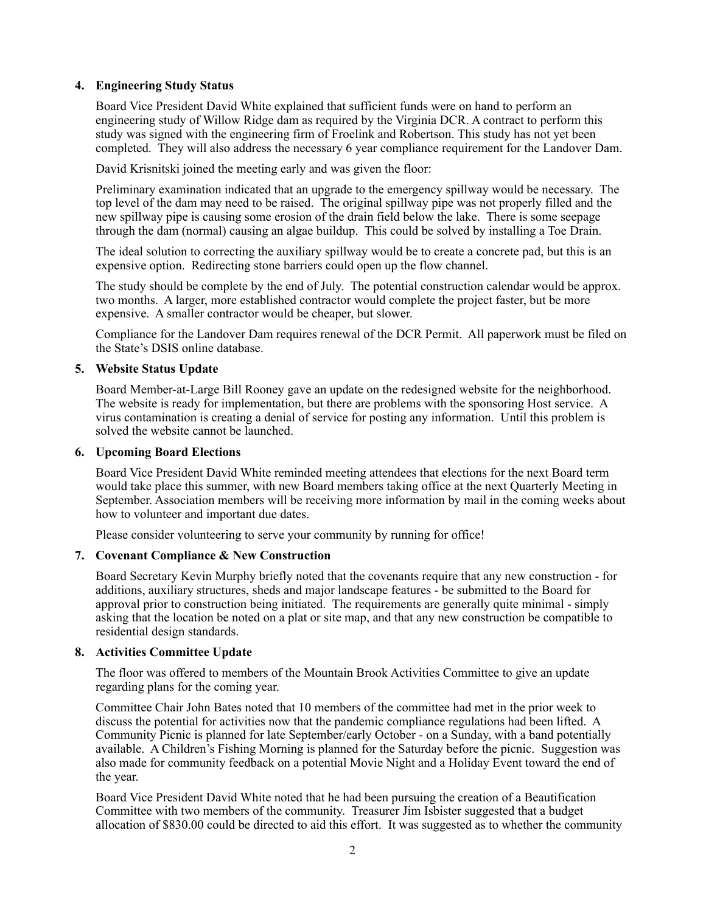#### **4. Engineering Study Status**

Board Vice President David White explained that sufficient funds were on hand to perform an engineering study of Willow Ridge dam as required by the Virginia DCR. A contract to perform this study was signed with the engineering firm of Froelink and Robertson. This study has not yet been completed. They will also address the necessary 6 year compliance requirement for the Landover Dam.

David Krisnitski joined the meeting early and was given the floor:

Preliminary examination indicated that an upgrade to the emergency spillway would be necessary. The top level of the dam may need to be raised. The original spillway pipe was not properly filled and the new spillway pipe is causing some erosion of the drain field below the lake. There is some seepage through the dam (normal) causing an algae buildup. This could be solved by installing a Toe Drain.

The ideal solution to correcting the auxiliary spillway would be to create a concrete pad, but this is an expensive option. Redirecting stone barriers could open up the flow channel.

The study should be complete by the end of July. The potential construction calendar would be approx. two months. A larger, more established contractor would complete the project faster, but be more expensive. A smaller contractor would be cheaper, but slower.

Compliance for the Landover Dam requires renewal of the DCR Permit. All paperwork must be filed on the State's DSIS online database.

#### **5. Website Status Update**

Board Member-at-Large Bill Rooney gave an update on the redesigned website for the neighborhood. The website is ready for implementation, but there are problems with the sponsoring Host service. A virus contamination is creating a denial of service for posting any information. Until this problem is solved the website cannot be launched.

#### **6. Upcoming Board Elections**

Board Vice President David White reminded meeting attendees that elections for the next Board term would take place this summer, with new Board members taking office at the next Quarterly Meeting in September. Association members will be receiving more information by mail in the coming weeks about how to volunteer and important due dates.

Please consider volunteering to serve your community by running for office!

#### **7. Covenant Compliance & New Construction**

Board Secretary Kevin Murphy briefly noted that the covenants require that any new construction - for additions, auxiliary structures, sheds and major landscape features - be submitted to the Board for approval prior to construction being initiated. The requirements are generally quite minimal - simply asking that the location be noted on a plat or site map, and that any new construction be compatible to residential design standards.

#### **8. Activities Committee Update**

The floor was offered to members of the Mountain Brook Activities Committee to give an update regarding plans for the coming year.

Committee Chair John Bates noted that 10 members of the committee had met in the prior week to discuss the potential for activities now that the pandemic compliance regulations had been lifted. A Community Picnic is planned for late September/early October - on a Sunday, with a band potentially available. A Children's Fishing Morning is planned for the Saturday before the picnic. Suggestion was also made for community feedback on a potential Movie Night and a Holiday Event toward the end of the year.

Board Vice President David White noted that he had been pursuing the creation of a Beautification Committee with two members of the community. Treasurer Jim Isbister suggested that a budget allocation of \$830.00 could be directed to aid this effort. It was suggested as to whether the community